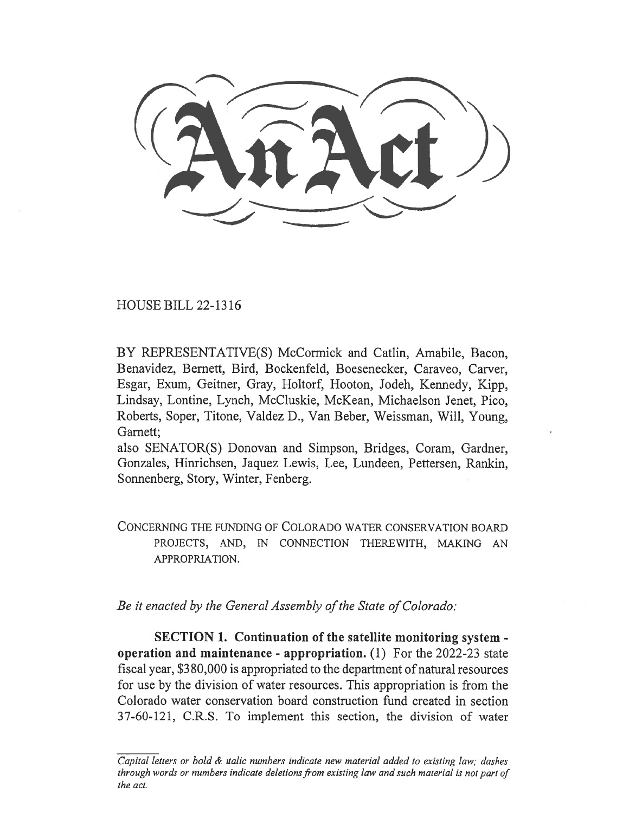HOUSE BILL 22-1316

BY REPRESENTATIVE(S) McCormick and Catlin, Amabile, Bacon, Benavidez, Bernett, Bird, Bockenfeld, Boesenecker, Caraveo, Carver, Esgar, Exum, Geitner, Gray, Holtorf, Hooton, Jodeh, Kennedy, Kipp, Lindsay, Lontine, Lynch, McCluskie, McKean, Michaelson Jenet, Pico, Roberts, Soper, Titone, Valdez D., Van Beber, Weissman, Will, Young, Garnett;

also SENATOR(S) Donovan and Simpson, Bridges, Coram, Gardner, Gonzales, Hinrichsen, Jaquez Lewis, Lee, Lundeen, Pettersen, Rankin, Sonnenberg, Story, Winter, Fenberg.

CONCERNING THE FUNDING OF COLORADO WATER CONSERVATION BOARD PROJECTS, AND, IN CONNECTION THEREWITH, MAKING AN APPROPRIATION.

Be it enacted by the General Assembly of the State of Colorado:

SECTION 1. Continuation of the satellite monitoring system operation and maintenance - appropriation. (1) For the 2022-23 state fiscal year, \$380,000 is appropriated to the department of natural resources for use by the division of water resources. This appropriation is from the Colorado water conservation board construction fund created in section 37-60-121, C.R.S. To implement this section, the division of water

Capital letters or bold & italic numbers indicate new material added to existing law; dashes through words or numbers indicate deletions from existing law and such material is not part of the act.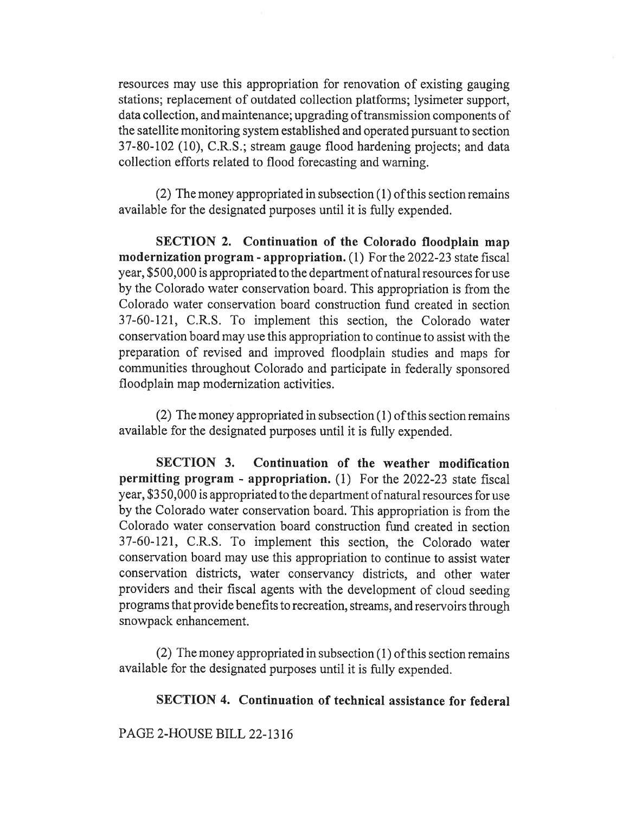resources may use this appropriation for renovation of existing gauging stations; replacement of outdated collection platforms; lysimeter support, data collection, and maintenance; upgrading of transmission components of the satellite monitoring system established and operated pursuant to section 37-80-102 (10), C.R.S.; stream gauge flood hardening projects; and data collection efforts related to flood forecasting and warning.

(2) The money appropriated in subsection (1) of this section remains available for the designated purposes until it is fully expended.

SECTION 2. Continuation of the Colorado floodplain map modernization program - appropriation. (1) For the 2022-23 state fiscal year, \$500,000 is appropriated to the department ofnatural resources for use by the Colorado water conservation board. This appropriation is from the Colorado water conservation board construction fund created in section 37-60-121, C.R.S. To implement this section, the Colorado water conservation board may use this appropriation to continue to assist with the preparation of revised and improved floodplain studies and maps for communities throughout Colorado and participate in federally sponsored floodplain map modernization activities.

(2) The money appropriated in subsection (1) of this section remains available for the designated purposes until it is fully expended.

SECTION 3. Continuation of the weather modification permitting program - appropriation. (1) For the 2022-23 state fiscal year, \$350,000 is appropriated to the department ofnatural resources for use by the Colorado water conservation board. This appropriation is from the Colorado water conservation board construction fund created in section 37-60-121, C.R.S. To implement this section, the Colorado water conservation board may use this appropriation to continue to assist water conservation districts, water conservancy districts, and other water providers and their fiscal agents with the development of cloud seeding programs that provide benefits to recreation, streams, and reservoirs through snowpack enhancement.

(2) The money appropriated in subsection (1) of this section remains available for the designated purposes until it is fully expended.

## SECTION 4. Continuation of technical assistance for federal

PAGE 2-HOUSE BILL 22-1316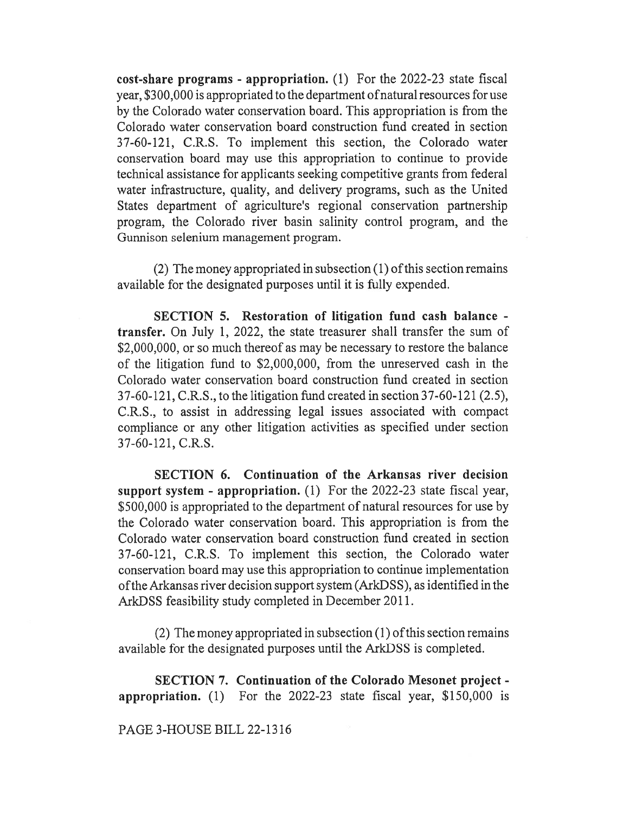cost-share programs - appropriation. (1) For the 2022-23 state fiscal year, \$300,000 is appropriated to the department of natural resources for use by the Colorado water conservation board. This appropriation is from the Colorado water conservation board construction fund created in section 37-60-121, C.R.S. To implement this section, the Colorado water conservation board may use this appropriation to continue to provide technical assistance for applicants seeking competitive grants from federal water infrastructure, quality, and delivery programs, such as the United States department of agriculture's regional conservation partnership program, the Colorado river basin salinity control program, and the Gunnison selenium management program.

(2) The money appropriated in subsection (1) of this section remains available for the designated purposes until it is fully expended.

SECTION 5. Restoration of litigation fund cash balance transfer. On July 1, 2022, the state treasurer shall transfer the sum of \$2,000,000, or so much thereof as may be necessary to restore the balance of the litigation fund to \$2,000,000, from the unreserved cash in the Colorado water conservation board construction fund created in section 37-60-121, C.R.S., to the litigation fund created in section 37-60-121(2.5), C.R.S., to assist in addressing legal issues associated with compact compliance or any other litigation activities as specified under section 37-60-121, C.R.S.

SECTION 6. Continuation of the Arkansas river decision support system - appropriation. (1) For the 2022-23 state fiscal year, \$500,000 is appropriated to the department of natural resources for use by the Colorado water conservation board. This appropriation is from the Colorado water conservation board construction fund created in section 37-60-121, C.R.S. To implement this section, the Colorado water conservation board may use this appropriation to continue implementation of the Arkansas river decision support system (ArkDSS), as identified in the ArkDSS feasibility study completed in December 2011.

(2) The money appropriated in subsection (1) of this section remains available for the designated purposes until the ArkDSS is completed.

SECTION 7. Continuation of the Colorado Mesonet project appropriation. (1) For the 2022-23 state fiscal year, \$150,000 is

## PAGE 3-HOUSE BILL 22-1316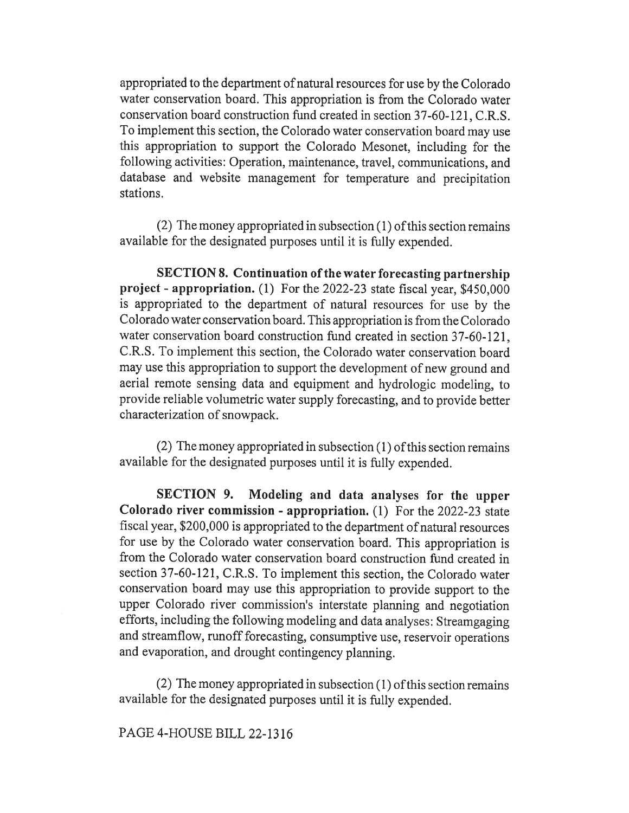appropriated to the department of natural resources for use by the Colorado water conservation board. This appropriation is from the Colorado water conservation board construction fund created in section 37-60-121, C.R.S. To implement this section, the Colorado water conservation board may use this appropriation to support the Colorado Mesonet, including for the following activities: Operation, maintenance, travel, communications, and database and website management for temperature and precipitation stations.

(2) The money appropriated in subsection (1) of this section remains available for the designated purposes until it is fully expended.

SECTION 8. Continuation of the water forecasting partnership project - appropriation. (1) For the 2022-23 state fiscal year, \$450,000 is appropriated to the department of natural resources for use by the Colorado water conservation board. This appropriation is from the Colorado water conservation board construction fund created in section 37-60-121, C.R.S. To implement this section, the Colorado water conservation board may use this appropriation to support the development of new ground and aerial remote sensing data and equipment and hydrologic modeling, to provide reliable volumetric water supply forecasting, and to provide better characterization of snowpack.

(2) The money appropriated in subsection (1) of this section remains available for the designated purposes until it is fully expended.

SECTION 9. Modeling and data analyses for the upper Colorado river commission - appropriation. (1) For the 2022-23 state fiscal year, \$200,000 is appropriated to the department of natural resources for use by the Colorado water conservation board. This appropriation is from the Colorado water conservation board construction fund created in section 37-60-121, C.R.S. To implement this section, the Colorado water conservation board may use this appropriation to provide support to the upper Colorado river commission's interstate planning and negotiation efforts, including the following modeling and data analyses: Streamgaging and streamflow, runoff forecasting, consumptive use, reservoir operations and evaporation, and drought contingency planning.

(2) The money appropriated in subsection (1) of this section remains available for the designated purposes until it is fully expended.

## PAGE 4-HOUSE BILL 22-1316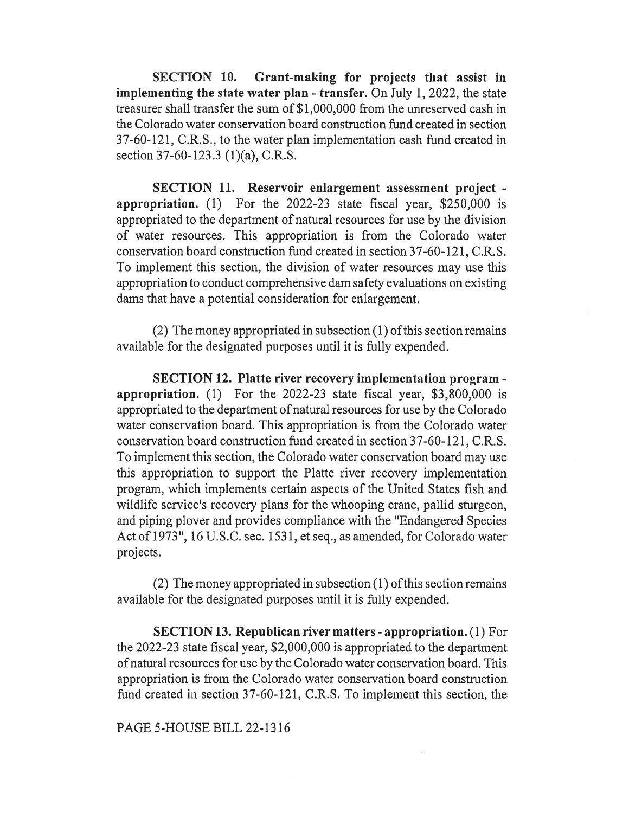SECTION 10. Grant-making for projects that assist in implementing the state water plan - transfer. On July 1, 2022, the state treasurer shall transfer the sum of \$1,000,000 from the unreserved cash in the Colorado water conservation board construction fund created in section 37-60-121, C.R.S., to the water plan implementation cash fund created in section 37-60-123.3 (1)(a), C.R.S.

SECTION 11. Reservoir enlargement assessment project appropriation. (1) For the 2022-23 state fiscal year, \$250,000 is appropriated to the department of natural resources for use by the division of water resources. This appropriation is from the Colorado water conservation board construction fund created in section 37-60-121, C.R.S. To implement this section, the division of water resources may use this appropriation to conduct comprehensive dam safety evaluations on existing dams that have a potential consideration for enlargement.

(2) The money appropriated in subsection (1) of this section remains available for the designated purposes until it is fully expended.

SECTION 12. Platte river recovery implementation program appropriation. (1) For the 2022-23 state fiscal year, \$3,800,000 is appropriated to the department of natural resources for use by the Colorado water conservation board. This appropriation is from the Colorado water conservation board construction fund created in section 37-60-121, C.R.S. To implement this section, the Colorado water conservation board may use this appropriation to support the Platte river recovery implementation program, which implements certain aspects of the United States fish and wildlife service's recovery plans for the whooping crane, pallid sturgeon, and piping plover and provides compliance with the "Endangered Species Act of 1973", 16 U.S.C. sec. 1531, et seq., as amended, for Colorado water projects.

(2) The money appropriated in subsection (1) of this section remains available for the designated purposes until it is fully expended.

SECTION 13. Republican river matters - appropriation. (1) For the 2022-23 state fiscal year, \$2,000,000 is appropriated to the department of natural resources for use by the Colorado water conservation board. This appropriation is from the Colorado water conservation board construction fund created in section 37-60-121, C.R.S. To implement this section, the

PAGE 5-HOUSE BILL 22-1316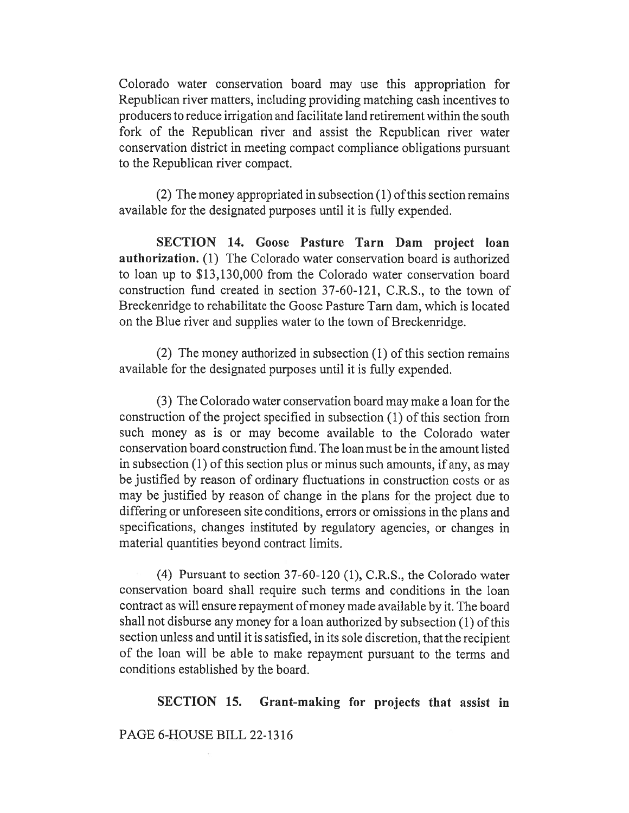Colorado water conservation board may use this appropriation for Republican river matters, including providing matching cash incentives to producers to reduce irrigation and facilitate land retirement within the south fork of the Republican river and assist the Republican river water conservation district in meeting compact compliance obligations pursuant to the Republican river compact.

(2) The money appropriated in subsection (1) of this section remains available for the designated purposes until it is fully expended.

SECTION 14. Goose Pasture Tarn Dam project loan authorization. (1) The Colorado water conservation board is authorized to loan up to \$13,130,000 from the Colorado water conservation board construction fund created in section 37-60-121, C.R.S., to the town of Breckenridge to rehabilitate the Goose Pasture Tarn dam, which is located on the Blue river and supplies water to the town of Breckenridge.

(2) The money authorized in subsection (1) of this section remains available for the designated purposes until it is fully expended.

(3) The Colorado water conservation board may make a loan for the construction of the project specified in subsection (1) of this section from such money as is or may become available to the Colorado water conservation board construction fund. The loan must be in the amount listed in subsection (1) of this section plus or minus such amounts, if any, as may be justified by reason of ordinary fluctuations in construction costs or as may be justified by reason of change in the plans for the project due to differing or unforeseen site conditions, errors or omissions in the plans and specifications, changes instituted by regulatory agencies, or changes in material quantities beyond contract limits.

(4) Pursuant to section 37-60-120 (1), C.R.S., the Colorado water conservation board shall require such terms and conditions in the loan contract as will ensure repayment of money made available by it. The board shall not disburse any money for a loan authorized by subsection (1) of this section unless and until it is satisfied, in its sole discretion, that the recipient of the loan will be able to make repayment pursuant to the terms and conditions established by the board.

SECTION 15. Grant-making for projects that assist in

PAGE 6-HOUSE BILL 22-1316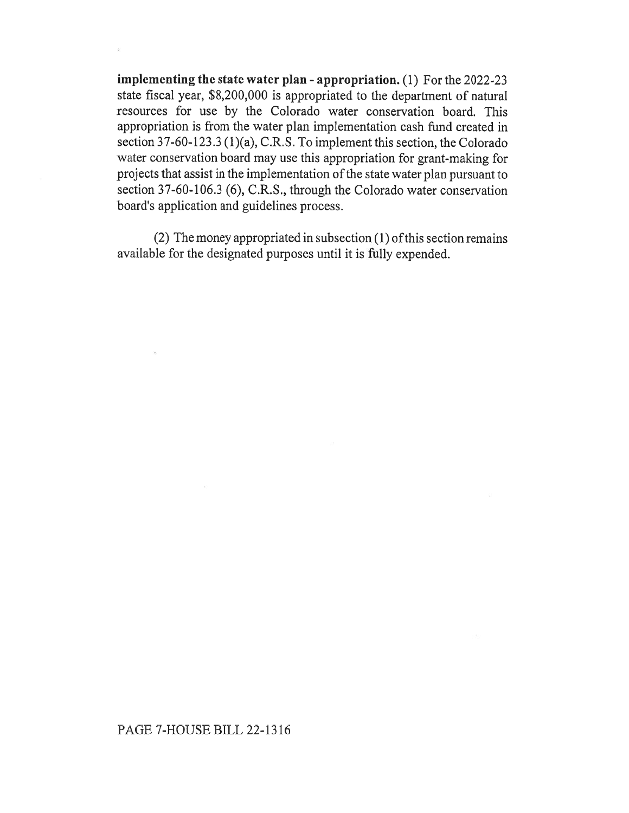implementing the state water plan - appropriation. (1) For the 2022-23 state fiscal year, \$8,200,000 is appropriated to the department of natural resources for use by the Colorado water conservation board. This appropriation is from the water plan implementation cash fund created in section 37-60-123.3 (1)(a), C.R.S. To implement this section, the Colorado water conservation board may use this appropriation for grant-making for projects that assist in the implementation of the state water plan pursuant to section 37-60-106.3 (6), C.R.S., through the Colorado water conservation board's application and guidelines process.

(2) The money appropriated in subsection (1) of this section remains available for the designated purposes until it is fully expended.